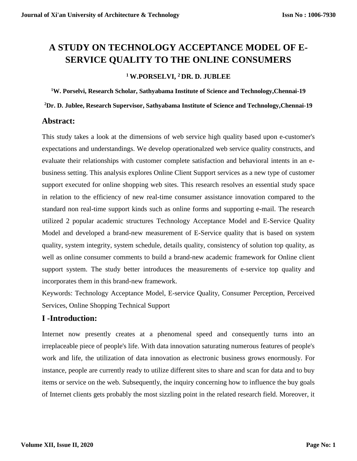# **A STUDY ON TECHNOLOGY ACCEPTANCE MODEL OF E-SERVICE QUALITY TO THE ONLINE CONSUMERS**

# **<sup>1</sup>W.PORSELVI, <sup>2</sup>DR. D. JUBLEE**

**<sup>1</sup>W. Porselvi, Research Scholar, Sathyabama Institute of Science and Technology,Chennai-19**

**<sup>2</sup>Dr. D. Jublee, Research Supervisor, Sathyabama Institute of Science and Technology,Chennai-19**

## **Abstract:**

This study takes a look at the dimensions of web service high quality based upon e-customer's expectations and understandings. We develop operationalzed web service quality constructs, and evaluate their relationships with customer complete satisfaction and behavioral intents in an ebusiness setting. This analysis explores Online Client Support services as a new type of customer support executed for online shopping web sites. This research resolves an essential study space in relation to the efficiency of new real-time consumer assistance innovation compared to the standard non real-time support kinds such as online forms and supporting e-mail. The research utilized 2 popular academic structures Technology Acceptance Model and E-Service Quality Model and developed a brand-new measurement of E-Service quality that is based on system quality, system integrity, system schedule, details quality, consistency of solution top quality, as well as online consumer comments to build a brand-new academic framework for Online client support system. The study better introduces the measurements of e-service top quality and incorporates them in this brand-new framework.

Keywords: Technology Acceptance Model, E-service Quality, Consumer Perception, Perceived Services, Online Shopping Technical Support

# **I -Introduction:**

Internet now presently creates at a phenomenal speed and consequently turns into an irreplaceable piece of people's life. With data innovation saturating numerous features of people's work and life, the utilization of data innovation as electronic business grows enormously. For instance, people are currently ready to utilize different sites to share and scan for data and to buy items or service on the web. Subsequently, the inquiry concerning how to influence the buy goals of Internet clients gets probably the most sizzling point in the related research field. Moreover, it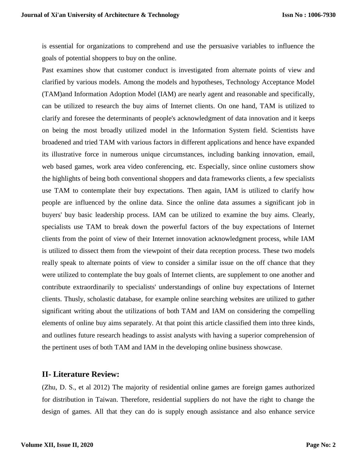is essential for organizations to comprehend and use the persuasive variables to influence the goals of potential shoppers to buy on the online.

Past examines show that customer conduct is investigated from alternate points of view and clarified by various models. Among the models and hypotheses, Technology Acceptance Model (TAM)and Information Adoption Model (IAM) are nearly agent and reasonable and specifically, can be utilized to research the buy aims of Internet clients. On one hand, TAM is utilized to clarify and foresee the determinants of people's acknowledgment of data innovation and it keeps on being the most broadly utilized model in the Information System field. Scientists have broadened and tried TAM with various factors in different applications and hence have expanded its illustrative force in numerous unique circumstances, including banking innovation, email, web based games, work area video conferencing, etc. Especially, since online customers show the highlights of being both conventional shoppers and data frameworks clients, a few specialists use TAM to contemplate their buy expectations. Then again, IAM is utilized to clarify how people are influenced by the online data. Since the online data assumes a significant job in buyers' buy basic leadership process. IAM can be utilized to examine the buy aims. Clearly, specialists use TAM to break down the powerful factors of the buy expectations of Internet clients from the point of view of their Internet innovation acknowledgment process, while IAM is utilized to dissect them from the viewpoint of their data reception process. These two models really speak to alternate points of view to consider a similar issue on the off chance that they were utilized to contemplate the buy goals of Internet clients, are supplement to one another and contribute extraordinarily to specialists' understandings of online buy expectations of Internet clients. Thusly, scholastic database, for example online searching websites are utilized to gather significant writing about the utilizations of both TAM and IAM on considering the compelling elements of online buy aims separately. At that point this article classified them into three kinds, and outlines future research headings to assist analysts with having a superior comprehension of the pertinent uses of both TAM and IAM in the developing online business showcase.

#### **II- Literature Review:**

(Zhu, D. S., et al 2012) The majority of residential online games are foreign games authorized for distribution in Taiwan. Therefore, residential suppliers do not have the right to change the design of games. All that they can do is supply enough assistance and also enhance service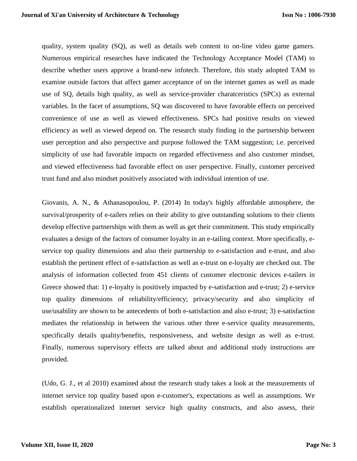quality, system quality (SQ), as well as details web content to on-line video game gamers. Numerous empirical researches have indicated the Technology Acceptance Model (TAM) to describe whether users approve a brand-new infotech. Therefore, this study adopted TAM to examine outside factors that affect gamer acceptance of on the internet games as well as made use of SQ, details high quality, as well as service-provider charatceristics (SPCs) as external variables. In the facet of assumptions, SQ was discovered to have favorable effects on perceived convenience of use as well as viewed effectiveness. SPCs had positive results on viewed efficiency as well as viewed depend on. The research study finding in the partnership between user perception and also perspective and purpose followed the TAM suggestion; i.e. perceived simplicity of use had favorable impacts on regarded effectiveness and also customer mindset, and viewed effectiveness had favorable effect on user perspective. Finally, customer perceived trust fund and also mindset positively associated with individual intention of use.

Giovanis, A. N., & Athanasopoulou, P. (2014) In today's highly affordable atmosphere, the survival/prosperity of e-tailers relies on their ability to give outstanding solutions to their clients develop effective partnerships with them as well as get their commitment. This study empirically evaluates a design of the factors of consumer loyalty in an e-tailing context. More specifically, eservice top quality dimensions and also their partnership to e-satisfaction and e-trust, and also establish the pertinent effect of e-satisfaction as well as e-trust on e-loyalty are checked out. The analysis of information collected from 451 clients of customer electronic devices e-tailers in Greece showed that: 1) e-loyalty is positively impacted by e-satisfaction and e-trust; 2) e-service top quality dimensions of reliability/efficiency; privacy/security and also simplicity of use/usability are shown to be antecedents of both e-satisfaction and also e-trust; 3) e-satisfaction mediates the relationship in between the various other three e-service quality measurements, specifically details quality/benefits, responsiveness, and website design as well as e-trust. Finally, numerous supervisory effects are talked about and additional study instructions are provided.

(Udo, G. J., et al 2010) examined about the research study takes a look at the measurements of internet service top quality based upon e-customer's, expectations as well as assumptions. We establish operationalized internet service high quality constructs, and also assess, their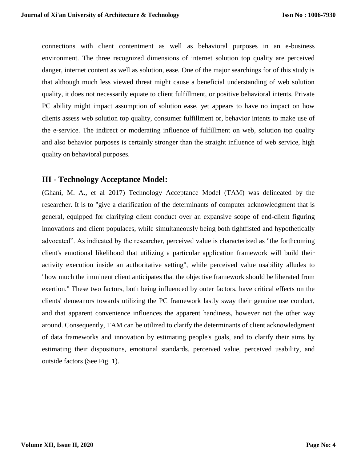connections with client contentment as well as behavioral purposes in an e-business environment. The three recognized dimensions of internet solution top quality are perceived danger, internet content as well as solution, ease. One of the major searchings for of this study is that although much less viewed threat might cause a beneficial understanding of web solution quality, it does not necessarily equate to client fulfillment, or positive behavioral intents. Private PC ability might impact assumption of solution ease, yet appears to have no impact on how clients assess web solution top quality, consumer fulfillment or, behavior intents to make use of the e-service. The indirect or moderating influence of fulfillment on web, solution top quality and also behavior purposes is certainly stronger than the straight influence of web service, high quality on behavioral purposes.

#### **III - Technology Acceptance Model:**

(Ghani, M. A., et al 2017) Technology Acceptance Model (TAM) was delineated by the researcher. It is to "give a clarification of the determinants of computer acknowledgment that is general, equipped for clarifying client conduct over an expansive scope of end-client figuring innovations and client populaces, while simultaneously being both tightfisted and hypothetically advocated". As indicated by the researcher, perceived value is characterized as "the forthcoming client's emotional likelihood that utilizing a particular application framework will build their activity execution inside an authoritative setting", while perceived value usability alludes to "how much the imminent client anticipates that the objective framework should be liberated from exertion." These two factors, both being influenced by outer factors, have critical effects on the clients' demeanors towards utilizing the PC framework lastly sway their genuine use conduct, and that apparent convenience influences the apparent handiness, however not the other way around. Consequently, TAM can be utilized to clarify the determinants of client acknowledgment of data frameworks and innovation by estimating people's goals, and to clarify their aims by estimating their dispositions, emotional standards, perceived value, perceived usability, and outside factors (See Fig. 1).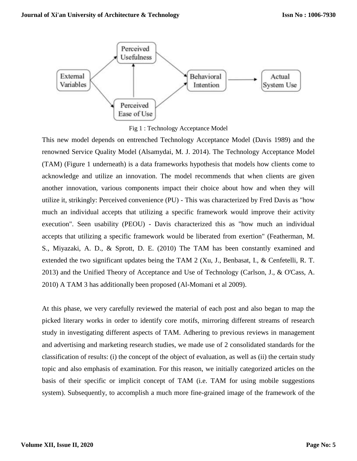

Fig 1 : Technology Acceptance Model

This new model depends on entrenched Technology Acceptance Model (Davis 1989) and the renowned Service Quality Model (Alsamydai, M. J. 2014). The Technology Acceptance Model (TAM) (Figure 1 underneath) is a data frameworks hypothesis that models how clients come to acknowledge and utilize an innovation. The model recommends that when clients are given another innovation, various components impact their choice about how and when they will utilize it, strikingly: Perceived convenience (PU) - This was characterized by Fred Davis as "how much an individual accepts that utilizing a specific framework would improve their activity execution". Seen usability (PEOU) - Davis characterized this as "how much an individual accepts that utilizing a specific framework would be liberated from exertion" (Featherman, M. S., Miyazaki, A. D., & Sprott, D. E. (2010) The TAM has been constantly examined and extended the two significant updates being the TAM 2 (Xu, J., Benbasat, I., & Cenfetelli, R. T. 2013) and the Unified Theory of Acceptance and Use of Technology (Carlson, J., & O'Cass, A. 2010) A TAM 3 has additionally been proposed (Al-Momani et al 2009).

At this phase, we very carefully reviewed the material of each post and also began to map the picked literary works in order to identify core motifs, mirroring different streams of research study in investigating different aspects of TAM. Adhering to previous reviews in management and advertising and marketing research studies, we made use of 2 consolidated standards for the classification of results: (i) the concept of the object of evaluation, as well as (ii) the certain study topic and also emphasis of examination. For this reason, we initially categorized articles on the basis of their specific or implicit concept of TAM (i.e. TAM for using mobile suggestions system). Subsequently, to accomplish a much more fine-grained image of the framework of the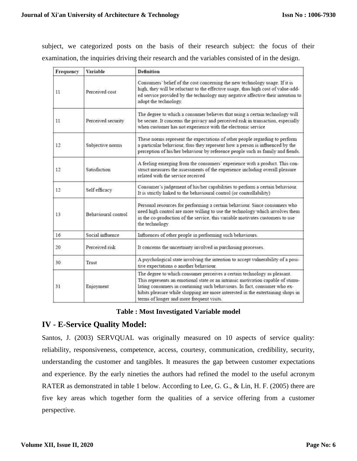subject, we categorized posts on the basis of their research subject: the focus of their examination, the inquiries driving their research and the variables consisted of in the design.

| Frequency    | Variable            | <b>Definition</b>                                                                                                                                                                                                                                                                                                                                                        |
|--------------|---------------------|--------------------------------------------------------------------------------------------------------------------------------------------------------------------------------------------------------------------------------------------------------------------------------------------------------------------------------------------------------------------------|
| 11           | Perceived cost      | Consumers' belief of the cost concerning the new technology usage. If it is<br>high, they will be reluctant to the effective usage, thus high cost of value-add-<br>ed service provided by the technology may negative affective their intention to<br>adopt the technology.                                                                                             |
| 11           | Perceived security  | The degree to which a consumer believes that using a certain technology will<br>be secure. It concerns the privacy and perceived risk in transaction, especially<br>when customer has not experience with the electronic service                                                                                                                                         |
| 12           | Subjective norms    | These norms represent the expectations of other people regarding to perform<br>a particular behaviour, thus they represent how a person is influenced by the<br>perception of his/her behaviour by reference people such as family and fiends.                                                                                                                           |
| $12^{\circ}$ | Satisfaction        | A feeling emerging from the consumers' experience with a product. This con-<br>struct measures the assessments of the experience including overall pleasure<br>related with the service received                                                                                                                                                                         |
| $12^{\circ}$ | Self efficacy       | Consumer's judgement of his/her capabilities to perform a certain behaviour.<br>It is strictly linked to the behavioural control (or controllability)                                                                                                                                                                                                                    |
| 13           | Behavioural control | Personal resources for performing a certain behaviour. Since consumers who<br>need high control are more willing to use the technology which involves them<br>in the co-production of the service, this variable motivates customers to use<br>the technology                                                                                                            |
| 16           | Social influence    | Influences of other people in performing such behaviours.                                                                                                                                                                                                                                                                                                                |
| 20           | Perceived risk      | It concerns the uncertainty involved in purchasing processes.                                                                                                                                                                                                                                                                                                            |
| 30           | Trust               | A psychological state involving the intention to accept vulnerability of a posi-<br>tive expectations o another behaviour.                                                                                                                                                                                                                                               |
| 31           | Enjoyment           | The degree to which consumer perceives a certain technology as pleasant.<br>This represents an emotional state or an intrinsic motivation capable of stimu-<br>lating consumers in continuing such behaviours. In fact, consumer who ex-<br>hibits pleasure while shopping are more interested in the entertaining shops in<br>terms of longer and more frequent visits. |

#### **Table : Most Investigated Variable model**

# **IV - E-Service Quality Model:**

Santos, J. (2003) SERVQUAL was originally measured on 10 aspects of service quality: reliability, responsiveness, competence, access, courtesy, communication, credibility, security, understanding the customer and tangibles. It measures the gap between customer expectations and experience. By the early nineties the authors had refined the model to the useful acronym RATER as demonstrated in table 1 below. According to Lee, G. G., & Lin, H. F. (2005) there are five key areas which together form the qualities of a service offering from a customer perspective.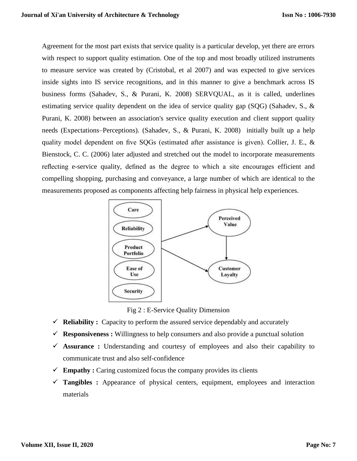Agreement for the most part exists that service quality is a particular develop, yet there are errors with respect to support quality estimation. One of the top and most broadly utilized instruments to measure service was created by (Cristobal, et al 2007) and was expected to give services inside sights into IS service recognitions, and in this manner to give a benchmark across IS business forms (Sahadev, S., & Purani, K. 2008) SERVQUAL, as it is called, underlines estimating service quality dependent on the idea of service quality gap (SQG) (Sahadev, S., & Purani, K. 2008) between an association's service quality execution and client support quality needs (Expectations–Perceptions). (Sahadev, S., & Purani, K. 2008) initially built up a help quality model dependent on five SQGs (estimated after assistance is given). Collier, J. E., & Bienstock, C. C. (2006) later adjusted and stretched out the model to incorporate measurements reflecting e-service quality, defined as the degree to which a site encourages efficient and compelling shopping, purchasing and conveyance, a large number of which are identical to the measurements proposed as components affecting help fairness in physical help experiences.



Fig 2 : E-Service Quality Dimension

- $\checkmark$  **Reliability :** Capacity to perform the assured service dependably and accurately
- $\checkmark$  **Responsiveness :** Willingness to help consumers and also provide a punctual solution
- **Assurance :** Understanding and courtesy of employees and also their capability to communicate trust and also self-confidence
- $\checkmark$  **Empathy :** Caring customized focus the company provides its clients
- $\checkmark$  Tangibles : Appearance of physical centers, equipment, employees and interaction materials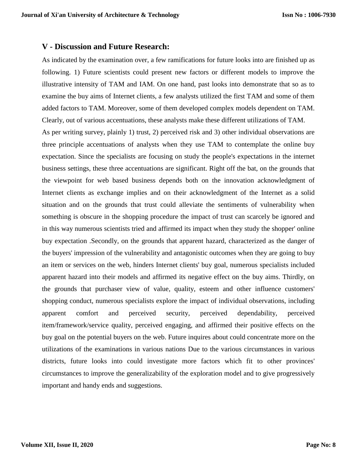#### **V - Discussion and Future Research:**

As indicated by the examination over, a few ramifications for future looks into are finished up as following. 1) Future scientists could present new factors or different models to improve the illustrative intensity of TAM and IAM. On one hand, past looks into demonstrate that so as to examine the buy aims of Internet clients, a few analysts utilized the first TAM and some of them added factors to TAM. Moreover, some of them developed complex models dependent on TAM. Clearly, out of various accentuations, these analysts make these different utilizations of TAM.

As per writing survey, plainly 1) trust, 2) perceived risk and 3) other individual observations are three principle accentuations of analysts when they use TAM to contemplate the online buy expectation. Since the specialists are focusing on study the people's expectations in the internet business settings, these three accentuations are significant. Right off the bat, on the grounds that the viewpoint for web based business depends both on the innovation acknowledgment of Internet clients as exchange implies and on their acknowledgment of the Internet as a solid situation and on the grounds that trust could alleviate the sentiments of vulnerability when something is obscure in the shopping procedure the impact of trust can scarcely be ignored and in this way numerous scientists tried and affirmed its impact when they study the shopper' online buy expectation .Secondly, on the grounds that apparent hazard, characterized as the danger of the buyers' impression of the vulnerability and antagonistic outcomes when they are going to buy an item or services on the web, hinders Internet clients' buy goal, numerous specialists included apparent hazard into their models and affirmed its negative effect on the buy aims. Thirdly, on the grounds that purchaser view of value, quality, esteem and other influence customers' shopping conduct, numerous specialists explore the impact of individual observations, including apparent comfort and perceived security, perceived dependability, perceived item/framework/service quality, perceived engaging, and affirmed their positive effects on the buy goal on the potential buyers on the web. Future inquires about could concentrate more on the utilizations of the examinations in various nations Due to the various circumstances in various districts, future looks into could investigate more factors which fit to other provinces' circumstances to improve the generalizability of the exploration model and to give progressively important and handy ends and suggestions.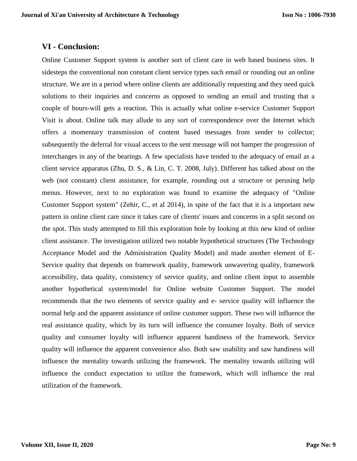#### **VI - Conclusion:**

Online Customer Support system is another sort of client care in web based business sites. It sidesteps the conventional non constant client service types such email or rounding out an online structure. We are in a period where online clients are additionally requesting and they need quick solutions to their inquiries and concerns as opposed to sending an email and trusting that a couple of hours-will gets a reaction. This is actually what online e-service Customer Support Visit is about. Online talk may allude to any sort of correspondence over the Internet which offers a momentary transmission of content based messages from sender to collector; subsequently the deferral for visual access to the sent message will not hamper the progression of interchanges in any of the bearings. A few specialists have tended to the adequacy of email as a client service apparatus (Zhu, D. S., & Lin, C. T. 2008, July). Different has talked about on the web (not constant) client assistance, for example, rounding out a structure or perusing help menus. However, next to no exploration was found to examine the adequacy of "Online Customer Support system" (Zehir, C., et al 2014), in spite of the fact that it is a important new pattern in online client care since it takes care of clients' issues and concerns in a split second on the spot. This study attempted to fill this exploration hole by looking at this new kind of online client assistance. The investigation utilized two notable hypothetical structures (The Technology Acceptance Model and the Administration Quality Model) and made another element of E-Service quality that depends on framework quality, framework unwavering quality, framework accessibility, data quality, consistency of service quality, and online client input to assemble another hypothetical system/model for Online website Customer Support. The model recommends that the two elements of service quality and e- service quality will influence the normal help and the apparent assistance of online customer support. These two will influence the real assistance quality, which by its turn will influence the consumer loyalty. Both of service quality and consumer loyalty will influence apparent handiness of the framework. Service quality will influence the apparent convenience also. Both saw usability and saw handiness will influence the mentality towards utilizing the framework. The mentality towards utilizing will influence the conduct expectation to utilize the framework, which will influence the real utilization of the framework.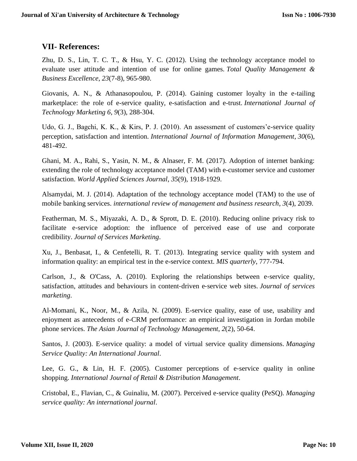### **VII- References:**

Zhu, D. S., Lin, T. C. T., & Hsu, Y. C. (2012). Using the technology acceptance model to evaluate user attitude and intention of use for online games. *Total Quality Management & Business Excellence*, *23*(7-8), 965-980.

Giovanis, A. N., & Athanasopoulou, P. (2014). Gaining customer loyalty in the e-tailing marketplace: the role of e-service quality, e-satisfaction and e-trust. *International Journal of Technology Marketing 6*, *9*(3), 288-304.

Udo, G. J., Bagchi, K. K., & Kirs, P. J. (2010). An assessment of customers'e-service quality perception, satisfaction and intention. *International Journal of Information Management*, *30*(6), 481-492.

Ghani, M. A., Rahi, S., Yasin, N. M., & Alnaser, F. M. (2017). Adoption of internet banking: extending the role of technology acceptance model (TAM) with e-customer service and customer satisfaction. *World Applied Sciences Journal*, *35*(9), 1918-1929.

Alsamydai, M. J. (2014). Adaptation of the technology acceptance model (TAM) to the use of mobile banking services. *international review of management and business research*, *3*(4), 2039.

Featherman, M. S., Miyazaki, A. D., & Sprott, D. E. (2010). Reducing online privacy risk to facilitate e-service adoption: the influence of perceived ease of use and corporate credibility. *Journal of Services Marketing*.

Xu, J., Benbasat, I., & Cenfetelli, R. T. (2013). Integrating service quality with system and information quality: an empirical test in the e-service context. *MIS quarterly*, 777-794.

Carlson, J., & O'Cass, A. (2010). Exploring the relationships between e-service quality, satisfaction, attitudes and behaviours in content‐driven e‐service web sites. *Journal of services marketing*.

Al-Momani, K., Noor, M., & Azila, N. (2009). E-service quality, ease of use, usability and enjoyment as antecedents of e-CRM performance: an empirical investigation in Jordan mobile phone services. *The Asian Journal of Technology Management*, *2*(2), 50-64.

Santos, J. (2003). E‐service quality: a model of virtual service quality dimensions. *Managing Service Quality: An International Journal*.

Lee, G. G., & Lin, H. F. (2005). Customer perceptions of e-service quality in online shopping. *International Journal of Retail & Distribution Management*.

Cristobal, E., Flavian, C., & Guinaliu, M. (2007). Perceived e‐service quality (PeSQ). *Managing service quality: An international journal*.